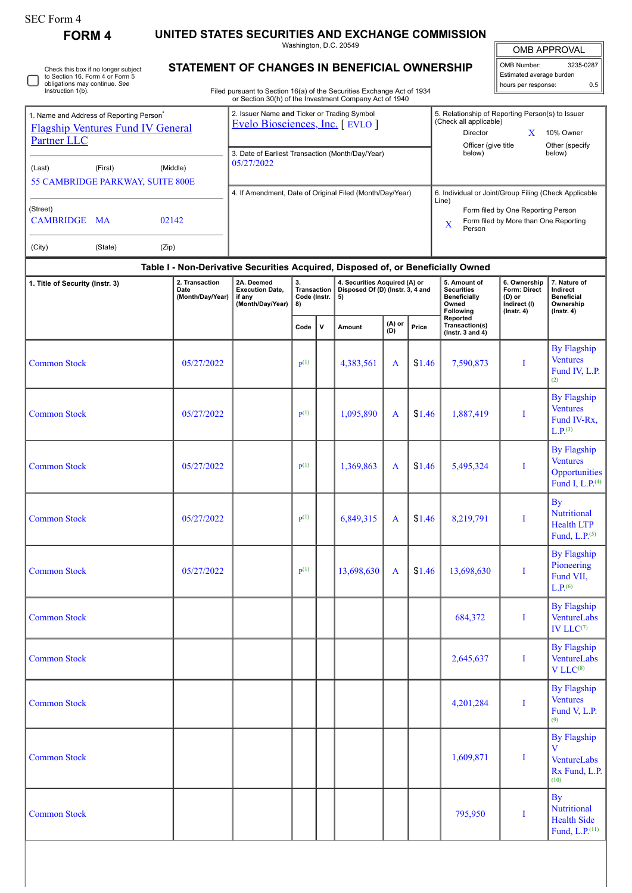| SEC Form 4 |  |
|------------|--|
|------------|--|

∩

Check this box if no longer subject to Section 16. Form 4 or Form 5 obligations may continue. *See* Instruction 1(b).

**FORM 4 UNITED STATES SECURITIES AND EXCHANGE COMMISSION**

Washington, D.C. 20549 **STATEMENT OF CHANGES IN BENEFICIAL OWNERSHIP**

| <b>OMB APPROVAL</b>      |           |
|--------------------------|-----------|
| <b>OMB Number:</b>       | 3235-0287 |
| Estimated average burden |           |

hours per response: 0.5

| Instruction 1(b).                                                   |                                                         | Filed pursuant to Section 16(a) of the Securities Exchange Act of 1934        |                                                                                                                                                                     |
|---------------------------------------------------------------------|---------------------------------------------------------|-------------------------------------------------------------------------------|---------------------------------------------------------------------------------------------------------------------------------------------------------------------|
|                                                                     |                                                         | or Section 30(h) of the Investment Company Act of 1940                        |                                                                                                                                                                     |
| 1. Name and Address of Reporting Person <sup>®</sup><br>Partner LLC | <b>Flagship Ventures Fund IV General</b>                | 2. Issuer Name and Ticker or Trading Symbol<br>Evelo Biosciences, Inc. [EVLO] | 5. Relationship of Reporting Person(s) to Issuer<br>(Check all applicable)<br>Director<br>10% Owner<br>Officer (give title<br>Other (specify                        |
| (Last)                                                              | (Middle)<br>(First)<br>55 CAMBRIDGE PARKWAY, SUITE 800E | 3. Date of Earliest Transaction (Month/Day/Year)<br>05/27/2022                | below)<br>below)                                                                                                                                                    |
| (Street)<br><b>CAMBRIDGE MA</b><br>(City)                           | 02142<br>(Zip)<br>(State)                               | 4. If Amendment, Date of Original Filed (Month/Day/Year)                      | 6. Individual or Joint/Group Filing (Check Applicable<br>Line)<br>Form filed by One Reporting Person<br>Form filed by More than One Reporting<br>$\bf{X}$<br>Person |

## **Table I - Non-Derivative Securities Acquired, Disposed of, or Beneficially Owned**

| 1. Title of Security (Instr. 3) | 2. Transaction<br>Date<br>(Month/Day/Year) | 2A. Deemed<br><b>Execution Date,</b><br>if any<br>(Month/Day/Year) | 3.<br>Transaction<br>Code (Instr.<br>8) | ,         | 4. Securities Acquired (A) or<br>Disposed Of (D) (Instr. 3, 4 and<br>5) |                   |        | 5. Amount of<br><b>Securities</b><br><b>Beneficially</b><br>Owned<br>Following | 6. Ownership<br>Form: Direct<br>(D) or<br>Indirect (I)<br>$($ Instr. 4 $)$ | 7. Nature of<br>Indirect<br><b>Beneficial</b><br>Ownership<br>$($ Instr. 4 $)$        |  |
|---------------------------------|--------------------------------------------|--------------------------------------------------------------------|-----------------------------------------|-----------|-------------------------------------------------------------------------|-------------------|--------|--------------------------------------------------------------------------------|----------------------------------------------------------------------------|---------------------------------------------------------------------------------------|--|
|                                 |                                            |                                                                    | Code                                    | ${\bf v}$ | Amount                                                                  | $(A)$ or<br>$(B)$ | Price  | Reported<br>Transaction(s)<br>(Instr. 3 and $4$ )                              |                                                                            |                                                                                       |  |
| <b>Common Stock</b>             | 05/27/2022                                 |                                                                    | $\mathbf{p}(1)$                         |           | 4,383,561                                                               | A                 | \$1.46 | 7,590,873                                                                      | I                                                                          | <b>By Flagship</b><br><b>Ventures</b><br>Fund IV, L.P.<br>(2)                         |  |
| <b>Common Stock</b>             | 05/27/2022                                 |                                                                    | $\mathbf{p}^{(1)}$                      |           | 1,095,890                                                               | A                 | \$1.46 | 1,887,419                                                                      | I                                                                          | <b>By Flagship</b><br><b>Ventures</b><br>Fund IV-Rx,<br>L.P. <sup>(3)</sup>           |  |
| <b>Common Stock</b>             | 05/27/2022                                 |                                                                    | $\mathbf{p}(1)$                         |           | 1,369,863                                                               | A                 | \$1.46 | 5,495,324                                                                      | I                                                                          | <b>By Flagship</b><br><b>Ventures</b><br>Opportunities<br>Fund I, L.P. <sup>(4)</sup> |  |
| <b>Common Stock</b>             | 05/27/2022                                 |                                                                    | $\mathbf{p}(1)$                         |           | 6,849,315                                                               | A                 | \$1.46 | 8,219,791                                                                      | I                                                                          | <b>By</b><br><b>Nutritional</b><br><b>Health LTP</b><br>Fund, $L.P.$ <sup>(5)</sup>   |  |
| <b>Common Stock</b>             | 05/27/2022                                 |                                                                    | $\mathbf{p}(1)$                         |           | 13,698,630                                                              | A                 | \$1.46 | 13,698,630                                                                     | I                                                                          | <b>By Flagship</b><br>Pioneering<br>Fund VII,<br>$L.P.$ <sup>(6)</sup>                |  |
| <b>Common Stock</b>             |                                            |                                                                    |                                         |           |                                                                         |                   |        | 684,372                                                                        | I                                                                          | <b>By Flagship</b><br>VentureLabs<br>IV $LLC^{(7)}$                                   |  |
| <b>Common Stock</b>             |                                            |                                                                    |                                         |           |                                                                         |                   |        | 2,645,637                                                                      | I                                                                          | <b>By Flagship</b><br>VentureLabs<br>V LLC <sup>(8)</sup>                             |  |
| <b>Common Stock</b>             |                                            |                                                                    |                                         |           |                                                                         |                   |        | 4,201,284                                                                      | I                                                                          | <b>By Flagship</b><br><b>Ventures</b><br>Fund V, L.P.<br>(9)                          |  |
| <b>Common Stock</b>             |                                            |                                                                    |                                         |           |                                                                         |                   |        | 1,609,871                                                                      | I                                                                          | <b>By Flagship</b><br>V<br>VentureLabs<br>Rx Fund, L.P.<br>(10)                       |  |
| <b>Common Stock</b>             |                                            |                                                                    |                                         |           |                                                                         |                   |        | 795,950                                                                        | I                                                                          | By<br><b>Nutritional</b><br><b>Health Side</b><br>Fund, L.P. <sup>(11)</sup>          |  |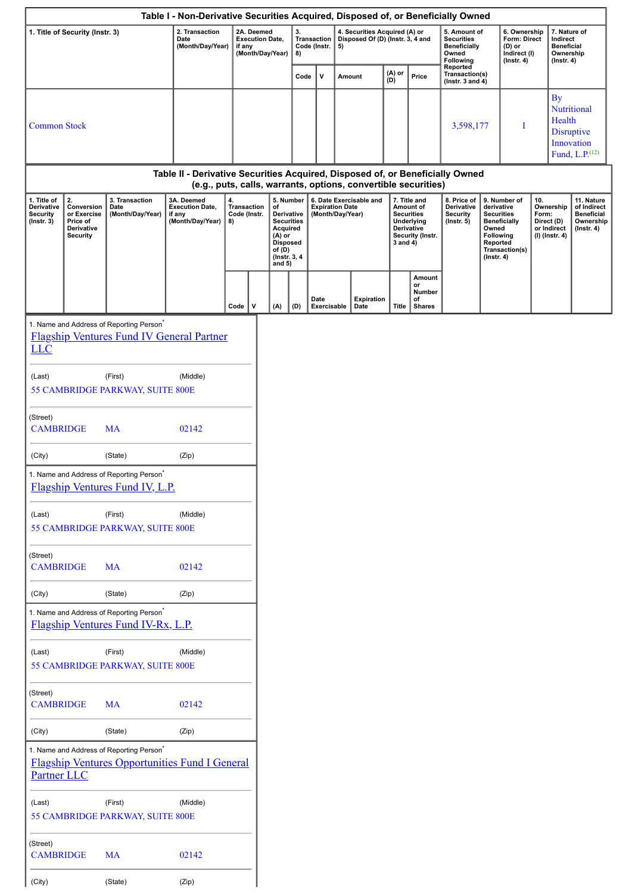|                                                                  |                                                                              |                                                                                                                     | Table I - Non-Derivative Securities Acquired, Disposed of, or Beneficially Owned |          |                                                                    |                                    |     |          |                             |    |                           |                                                                   |                                               |                                                                                |  |                                                                            |           |                                                                                               |  |                                                                                                                                         |  |  |  |                                                                                             |  |  |  |  |  |          |                                                                                                       |                                                           |                                                                                                                                                |  |                                                                          |  |                                                                                 |
|------------------------------------------------------------------|------------------------------------------------------------------------------|---------------------------------------------------------------------------------------------------------------------|----------------------------------------------------------------------------------|----------|--------------------------------------------------------------------|------------------------------------|-----|----------|-----------------------------|----|---------------------------|-------------------------------------------------------------------|-----------------------------------------------|--------------------------------------------------------------------------------|--|----------------------------------------------------------------------------|-----------|-----------------------------------------------------------------------------------------------|--|-----------------------------------------------------------------------------------------------------------------------------------------|--|--|--|---------------------------------------------------------------------------------------------|--|--|--|--|--|----------|-------------------------------------------------------------------------------------------------------|-----------------------------------------------------------|------------------------------------------------------------------------------------------------------------------------------------------------|--|--------------------------------------------------------------------------|--|---------------------------------------------------------------------------------|
|                                                                  | 1. Title of Security (Instr. 3)                                              |                                                                                                                     | 2. Transaction<br>Date<br>(Month/Day/Year)                                       |          | 2A. Deemed<br><b>Execution Date,</b><br>if any<br>(Month/Day/Year) |                                    |     | 3.<br>8) | Transaction<br>Code (Instr. | 5) |                           | 4. Securities Acquired (A) or<br>Disposed Of (D) (Instr. 3, 4 and |                                               | 5. Amount of<br><b>Securities</b><br><b>Beneficially</b><br>Owned<br>Following |  | 6. Ownership<br>Form: Direct<br>(D) or<br>Indirect (I)<br>$($ Instr. 4 $)$ |           | 7. Nature of<br>Indirect<br><b>Beneficial</b><br>Ownership<br>$($ Instr. 4 $)$                |  |                                                                                                                                         |  |  |  |                                                                                             |  |  |  |  |  |          |                                                                                                       |                                                           |                                                                                                                                                |  |                                                                          |  |                                                                                 |
|                                                                  |                                                                              |                                                                                                                     |                                                                                  |          |                                                                    |                                    |     | Code     | v                           |    | Amount                    | (A) or<br>(D)                                                     | Price                                         | Reported<br>Transaction(s)<br>(Instr. 3 and 4)                                 |  |                                                                            |           |                                                                                               |  |                                                                                                                                         |  |  |  |                                                                                             |  |  |  |  |  |          |                                                                                                       |                                                           |                                                                                                                                                |  |                                                                          |  |                                                                                 |
| <b>Common Stock</b>                                              |                                                                              |                                                                                                                     |                                                                                  |          |                                                                    |                                    |     |          |                             |    |                           |                                                                   |                                               | 3,598,177                                                                      |  | Ι                                                                          | <b>By</b> | <b>Nutritional</b><br>Health<br><b>Disruptive</b><br>Innovation<br>Fund, L.P. <sup>(12)</sup> |  |                                                                                                                                         |  |  |  |                                                                                             |  |  |  |  |  |          |                                                                                                       |                                                           |                                                                                                                                                |  |                                                                          |  |                                                                                 |
|                                                                  |                                                                              |                                                                                                                     | Table II - Derivative Securities Acquired, Disposed of, or Beneficially Owned    |          |                                                                    |                                    |     |          |                             |    |                           |                                                                   |                                               |                                                                                |  |                                                                            |           |                                                                                               |  |                                                                                                                                         |  |  |  |                                                                                             |  |  |  |  |  |          |                                                                                                       |                                                           |                                                                                                                                                |  |                                                                          |  |                                                                                 |
| 1. Title of<br>Derivative<br><b>Security</b><br>$($ Instr. 3 $)$ | 2.<br>Conversion<br>or Exercise<br>Price of<br>Derivative<br><b>Security</b> | 3. Transaction<br>Date<br>(Month/Day/Year)                                                                          | 3A. Deemed<br><b>Execution Date,</b><br>if any<br>(Month/Day/Year)               | 4.<br>8) | <b>Transaction</b><br>Code (Instr.                                 | of<br>(A) or<br>of (D)<br>and $5)$ |     |          |                             |    |                           |                                                                   |                                               |                                                                                |  |                                                                            |           |                                                                                               |  | (e.g., puts, calls, warrants, options, convertible securities)<br>6. Date Exercisable and<br><b>Expiration Date</b><br>(Month/Day/Year) |  |  |  | 5. Number<br>Derivative<br><b>Securities</b><br>Acquired<br><b>Disposed</b><br>(Instr. 3, 4 |  |  |  |  |  | 3 and 4) | 7. Title and<br>Amount of<br><b>Securities</b><br>Underlying<br><b>Derivative</b><br>Security (Instr. | 8. Price of<br>Derivative<br>Security<br>$($ Instr. 5 $)$ | 9. Number of<br>derivative<br><b>Securities</b><br><b>Beneficially</b><br>Owned<br>Following<br>Reported<br>Transaction(s)<br>$($ Instr. 4 $)$ |  | 10.<br>Ownership<br>Form:<br>Direct (D)<br>or Indirect<br>(I) (Instr. 4) |  | 11. Nature<br>of Indirect<br><b>Beneficial</b><br>Ownership<br>$($ lnstr. 4 $)$ |
|                                                                  |                                                                              |                                                                                                                     |                                                                                  |          | v<br>Code                                                          |                                    | (A) | (D)      | Date<br>Exercisable         |    | <b>Expiration</b><br>Date | <b>Title</b>                                                      | Amount<br>or<br>Number<br>οf<br><b>Shares</b> |                                                                                |  |                                                                            |           |                                                                                               |  |                                                                                                                                         |  |  |  |                                                                                             |  |  |  |  |  |          |                                                                                                       |                                                           |                                                                                                                                                |  |                                                                          |  |                                                                                 |
| <b>LLC</b><br>(Last)                                             |                                                                              | 1. Name and Address of Reporting Person <sup>*</sup><br><b>Flagship Ventures Fund IV General Partner</b><br>(First) | (Middle)                                                                         |          |                                                                    |                                    |     |          |                             |    |                           |                                                                   |                                               |                                                                                |  |                                                                            |           |                                                                                               |  |                                                                                                                                         |  |  |  |                                                                                             |  |  |  |  |  |          |                                                                                                       |                                                           |                                                                                                                                                |  |                                                                          |  |                                                                                 |
|                                                                  |                                                                              | 55 CAMBRIDGE PARKWAY, SUITE 800E                                                                                    |                                                                                  |          |                                                                    |                                    |     |          |                             |    |                           |                                                                   |                                               |                                                                                |  |                                                                            |           |                                                                                               |  |                                                                                                                                         |  |  |  |                                                                                             |  |  |  |  |  |          |                                                                                                       |                                                           |                                                                                                                                                |  |                                                                          |  |                                                                                 |
| (Street)<br><b>CAMBRIDGE</b>                                     |                                                                              | <b>MA</b>                                                                                                           | 02142                                                                            |          |                                                                    |                                    |     |          |                             |    |                           |                                                                   |                                               |                                                                                |  |                                                                            |           |                                                                                               |  |                                                                                                                                         |  |  |  |                                                                                             |  |  |  |  |  |          |                                                                                                       |                                                           |                                                                                                                                                |  |                                                                          |  |                                                                                 |
| (City)                                                           |                                                                              | (State)                                                                                                             | (Zip)                                                                            |          |                                                                    |                                    |     |          |                             |    |                           |                                                                   |                                               |                                                                                |  |                                                                            |           |                                                                                               |  |                                                                                                                                         |  |  |  |                                                                                             |  |  |  |  |  |          |                                                                                                       |                                                           |                                                                                                                                                |  |                                                                          |  |                                                                                 |
|                                                                  |                                                                              | 1. Name and Address of Reporting Person <sup>7</sup><br>Flagship Ventures Fund IV, L.P.                             |                                                                                  |          |                                                                    |                                    |     |          |                             |    |                           |                                                                   |                                               |                                                                                |  |                                                                            |           |                                                                                               |  |                                                                                                                                         |  |  |  |                                                                                             |  |  |  |  |  |          |                                                                                                       |                                                           |                                                                                                                                                |  |                                                                          |  |                                                                                 |
| (Last)                                                           |                                                                              | (First)<br>55 CAMBRIDGE PARKWAY, SUITE 800E                                                                         | (Middle)                                                                         |          |                                                                    |                                    |     |          |                             |    |                           |                                                                   |                                               |                                                                                |  |                                                                            |           |                                                                                               |  |                                                                                                                                         |  |  |  |                                                                                             |  |  |  |  |  |          |                                                                                                       |                                                           |                                                                                                                                                |  |                                                                          |  |                                                                                 |
| (Street)<br><b>CAMBRIDGE</b>                                     |                                                                              | <b>MA</b>                                                                                                           | 02142                                                                            |          |                                                                    |                                    |     |          |                             |    |                           |                                                                   |                                               |                                                                                |  |                                                                            |           |                                                                                               |  |                                                                                                                                         |  |  |  |                                                                                             |  |  |  |  |  |          |                                                                                                       |                                                           |                                                                                                                                                |  |                                                                          |  |                                                                                 |
| (City)                                                           |                                                                              | (State)                                                                                                             | (Zip)                                                                            |          |                                                                    |                                    |     |          |                             |    |                           |                                                                   |                                               |                                                                                |  |                                                                            |           |                                                                                               |  |                                                                                                                                         |  |  |  |                                                                                             |  |  |  |  |  |          |                                                                                                       |                                                           |                                                                                                                                                |  |                                                                          |  |                                                                                 |
|                                                                  |                                                                              | 1. Name and Address of Reporting Person <sup>*</sup><br>Flagship Ventures Fund IV-Rx, L.P.                          |                                                                                  |          |                                                                    |                                    |     |          |                             |    |                           |                                                                   |                                               |                                                                                |  |                                                                            |           |                                                                                               |  |                                                                                                                                         |  |  |  |                                                                                             |  |  |  |  |  |          |                                                                                                       |                                                           |                                                                                                                                                |  |                                                                          |  |                                                                                 |
| (Last)                                                           |                                                                              | (First)<br>55 CAMBRIDGE PARKWAY, SUITE 800E                                                                         | (Middle)                                                                         |          |                                                                    |                                    |     |          |                             |    |                           |                                                                   |                                               |                                                                                |  |                                                                            |           |                                                                                               |  |                                                                                                                                         |  |  |  |                                                                                             |  |  |  |  |  |          |                                                                                                       |                                                           |                                                                                                                                                |  |                                                                          |  |                                                                                 |
| (Street)<br><b>CAMBRIDGE</b>                                     |                                                                              | <b>MA</b>                                                                                                           | 02142                                                                            |          |                                                                    |                                    |     |          |                             |    |                           |                                                                   |                                               |                                                                                |  |                                                                            |           |                                                                                               |  |                                                                                                                                         |  |  |  |                                                                                             |  |  |  |  |  |          |                                                                                                       |                                                           |                                                                                                                                                |  |                                                                          |  |                                                                                 |
| (City)                                                           |                                                                              | (State)                                                                                                             | (Zip)                                                                            |          |                                                                    |                                    |     |          |                             |    |                           |                                                                   |                                               |                                                                                |  |                                                                            |           |                                                                                               |  |                                                                                                                                         |  |  |  |                                                                                             |  |  |  |  |  |          |                                                                                                       |                                                           |                                                                                                                                                |  |                                                                          |  |                                                                                 |
| <b>Partner LLC</b>                                               |                                                                              | 1. Name and Address of Reporting Person <sup>*</sup><br><b>Flagship Ventures Opportunities Fund I General</b>       |                                                                                  |          |                                                                    |                                    |     |          |                             |    |                           |                                                                   |                                               |                                                                                |  |                                                                            |           |                                                                                               |  |                                                                                                                                         |  |  |  |                                                                                             |  |  |  |  |  |          |                                                                                                       |                                                           |                                                                                                                                                |  |                                                                          |  |                                                                                 |
| (Last)                                                           |                                                                              | (First)<br>55 CAMBRIDGE PARKWAY, SUITE 800E                                                                         | (Middle)                                                                         |          |                                                                    |                                    |     |          |                             |    |                           |                                                                   |                                               |                                                                                |  |                                                                            |           |                                                                                               |  |                                                                                                                                         |  |  |  |                                                                                             |  |  |  |  |  |          |                                                                                                       |                                                           |                                                                                                                                                |  |                                                                          |  |                                                                                 |
| (Street)<br><b>CAMBRIDGE</b>                                     |                                                                              | <b>MA</b>                                                                                                           | 02142                                                                            |          |                                                                    |                                    |     |          |                             |    |                           |                                                                   |                                               |                                                                                |  |                                                                            |           |                                                                                               |  |                                                                                                                                         |  |  |  |                                                                                             |  |  |  |  |  |          |                                                                                                       |                                                           |                                                                                                                                                |  |                                                                          |  |                                                                                 |
| (City)                                                           |                                                                              | (State)                                                                                                             | (Zip)                                                                            |          |                                                                    |                                    |     |          |                             |    |                           |                                                                   |                                               |                                                                                |  |                                                                            |           |                                                                                               |  |                                                                                                                                         |  |  |  |                                                                                             |  |  |  |  |  |          |                                                                                                       |                                                           |                                                                                                                                                |  |                                                                          |  |                                                                                 |

٦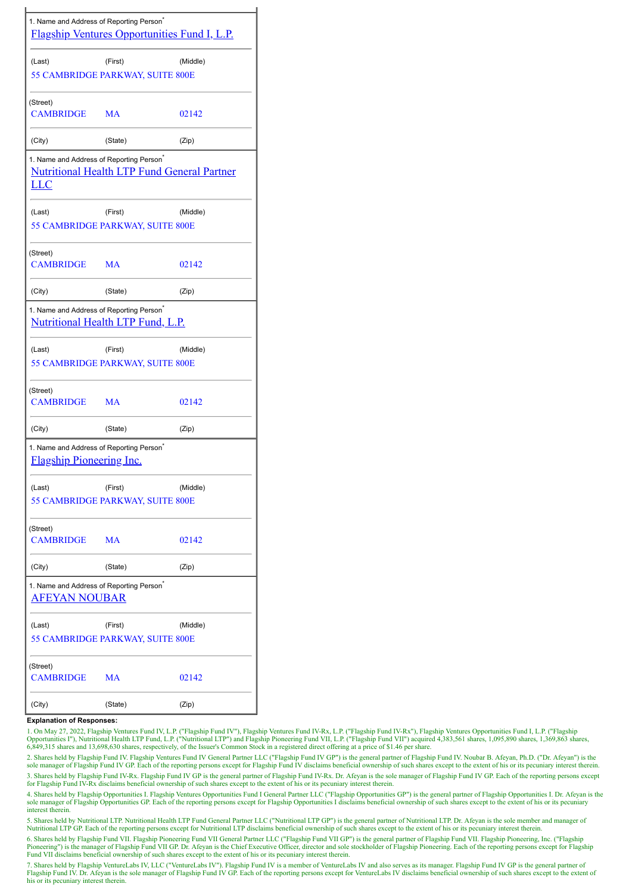| 1. Name and Address of Reporting Person <sup>®</sup>                                    | <b>Flagship Ventures Opportunities Fund I, L.P.</b> |          |
|-----------------------------------------------------------------------------------------|-----------------------------------------------------|----------|
| (Last)                                                                                  | (First)                                             | (Middle) |
|                                                                                         | 55 CAMBRIDGE PARKWAY, SUITE 800E                    |          |
| (Street)                                                                                |                                                     |          |
| CAMBRIDGE                                                                               | <b>MA</b>                                           | 02142    |
| (City)                                                                                  | (State)                                             | (Zip)    |
| 1. Name and Address of Reporting Person <sup>*</sup><br><u>LLC</u>                      | <b>Nutritional Health LTP Fund General Partner</b>  |          |
| (Last)                                                                                  | (First)                                             | (Middle) |
|                                                                                         | 55 CAMBRIDGE PARKWAY, SUITE 800E                    |          |
| (Street)                                                                                |                                                     |          |
| <b>CAMBRIDGE</b>                                                                        | <b>MA</b>                                           | 02142    |
| (City)                                                                                  | (State)                                             | (Zip)    |
| 1. Name and Address of Reporting Person <sup>®</sup>                                    | <b>Nutritional Health LTP Fund, L.P.</b>            |          |
| (Last)                                                                                  | (First)                                             | (Middle) |
|                                                                                         | 55 CAMBRIDGE PARKWAY, SUITE 800E                    |          |
|                                                                                         |                                                     |          |
| (Street)<br>CAMBRIDGE MA                                                                |                                                     | 02142    |
| (City)                                                                                  | (State)                                             | (Zip)    |
| 1. Name and Address of Reporting Person <sup>®</sup><br><b>Flagship Pioneering Inc.</b> |                                                     |          |
| (Last)                                                                                  | (First)                                             | (Middle) |
|                                                                                         | 55 CAMBRIDGE PARKWAY, SUITE 800E                    |          |
| (Street)                                                                                |                                                     |          |
| <b>CAMBRIDGE</b>                                                                        | MA                                                  | 02142    |
| (City)                                                                                  | (State)                                             | (Zip)    |
| 1. Name and Address of Reporting Person <sup>®</sup><br>AFEYAN NOUBAR                   |                                                     |          |
| (Last)                                                                                  | (First)                                             | (Middle) |
|                                                                                         | <b>55 CAMBRIDGE PARKWAY, SUITE 800E</b>             |          |
|                                                                                         |                                                     |          |
| (Street)<br>CAMBRIDGE                                                                   | MA                                                  | 02142    |
| (City)                                                                                  | (State)                                             | (Zip)    |

## **Explanation of Responses:**

1. On May 27, 2022, Flagship Ventures Fund IV, L.P. ("Flagship Fund IV"), Flagship Ventures Fund IV-Rx, L.P. ("Flagship Fund IV-Rx"), Flagship Ventures Opportunities Fund I, L.P. ("Flagship Ventures Fund I, L.P. ("Flagship

2. Shares held by Flagship Fund IV. Flagship Ventures Fund IV General Partner LLC ("Flagship Fund IV GP") is the general partner of Flagship Fund IV. Noubar B. Afeyan, Ph.D. ("Dr. Afeyan") is the<br>sole manager of Flagship F 3. Shares held by Flagship Fund IV-Rx. Flagship Fund IV GP is the general partner of Flagship Fund IV-Rx. Dr. Afeyan is the sole manager of Flagship Fund IV GP. Each of the reporting persons except for Flagship Fund IV-Rx disclaims beneficial ownership of such shares except to the extent of his or its pecuniary interest therein.

4. Shares held by Flagship Opportunities I. Flagship Ventures Opportunities Fund I General Partner LLC ("Flagship Opportunities GP") is the general partner of Flagship Opportunities I. Dr. Afeyan is the sole manager of Flagship Opportunities GP. Each of the reporting persons except for Flagship Opportunities I disclaims beneficial ownership of such shares except to the extent of his or its pecuniary interest therein.

5. Shares held by Nutritional LTP. Nutritional Health LTP Fund General Partner LLC ("Nutritional LTP GP") is the general partner of Nutritional LTP. Dr. Afeyan is the sole member and manager of Nutritional LTP GP. Each of the reporting persons except for Nutritional LTP disclaims beneficial ownership of such shares except to the extent of his or its pecuniary interest therein.

6. Shares held by Flagship Fund VII. Flagship Pioneering Fund VII General Partner LLC ("Flagship Fund VII GP") is the general partner of Flagship Fund VII. Flagship Pioneering, Inc. ("Flagship Pioneering") is the manager of Flagship Fund VII GP. Dr. Afeyan is the Chief Executive Officer, director and sole stockholder of Flagship Pioneering. Each of the reporting persons except for Flagship<br>Fund VII disclaims ben

7. Shares held by Flagship VentureLabs IV, LLC ("VentureLabs IV"). Flagship Fund IV is a member of VentureLabs IV and also serves as its manager. Flagship Fund IV GP is the general partner of<br>Flagship Fund IV. Dr. Afeyan i his or its pecuniary interest therein.